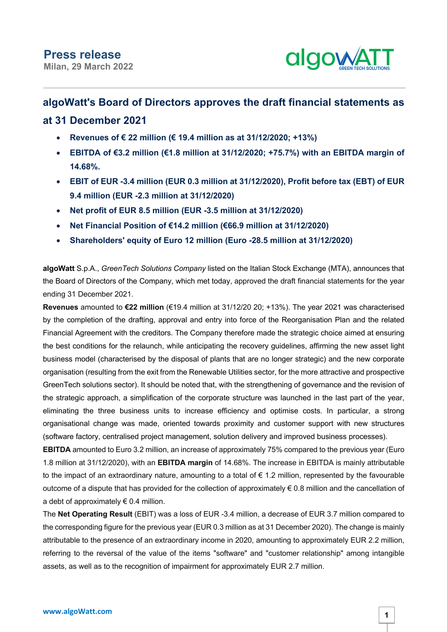

### **algoWatt's Board of Directors approves the draft financial statements as**

### **at 31 December 2021**

- **Revenues of € 22 million (€ 19.4 million as at 31/12/2020; +13%)**
- **EBITDA of €3.2 million (€1.8 million at 31/12/2020; +75.7%) with an EBITDA margin of 14.68%.**
- **EBIT of EUR -3.4 million (EUR 0.3 million at 31/12/2020), Profit before tax (EBT) of EUR 9.4 million (EUR -2.3 million at 31/12/2020)**
- **Net profit of EUR 8.5 million (EUR -3.5 million at 31/12/2020)**
- **Net Financial Position of €14.2 million (€66.9 million at 31/12/2020)**
- **Shareholders' equity of Euro 12 million (Euro -28.5 million at 31/12/2020)**

**algoWatt** S.p.A., *GreenTech Solutions Company* listed on the Italian Stock Exchange (MTA), announces that the Board of Directors of the Company, which met today, approved the draft financial statements for the year ending 31 December 2021.

**Revenues** amounted to **€22 million** (€19.4 million at 31/12/20 20; +13%). The year 2021 was characterised by the completion of the drafting, approval and entry into force of the Reorganisation Plan and the related Financial Agreement with the creditors. The Company therefore made the strategic choice aimed at ensuring the best conditions for the relaunch, while anticipating the recovery guidelines, affirming the new asset light business model (characterised by the disposal of plants that are no longer strategic) and the new corporate organisation (resulting from the exit from the Renewable Utilities sector, for the more attractive and prospective GreenTech solutions sector). It should be noted that, with the strengthening of governance and the revision of the strategic approach, a simplification of the corporate structure was launched in the last part of the year, eliminating the three business units to increase efficiency and optimise costs. In particular, a strong organisational change was made, oriented towards proximity and customer support with new structures (software factory, centralised project management, solution delivery and improved business processes).

**EBITDA** amounted to Euro 3.2 million, an increase of approximately 75% compared to the previous year (Euro 1.8 million at 31/12/2020), with an **EBITDA margin** of 14.68%. The increase in EBITDA is mainly attributable to the impact of an extraordinary nature, amounting to a total of  $\epsilon$  1.2 million, represented by the favourable outcome of a dispute that has provided for the collection of approximately  $\epsilon$  0.8 million and the cancellation of a debt of approximately  $\epsilon$  0.4 million.

The **Net Operating Result** (EBIT) was a loss of EUR -3.4 million, a decrease of EUR 3.7 million compared to the corresponding figure for the previous year (EUR 0.3 million as at 31 December 2020). The change is mainly attributable to the presence of an extraordinary income in 2020, amounting to approximately EUR 2.2 million, referring to the reversal of the value of the items "software" and "customer relationship" among intangible assets, as well as to the recognition of impairment for approximately EUR 2.7 million.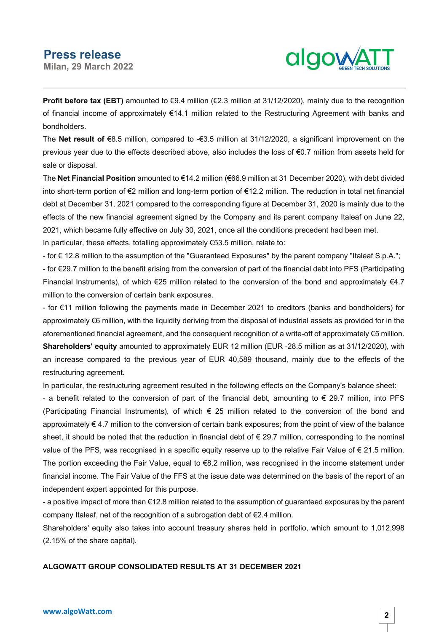**Milan, 29 March 2022**



**Profit before tax (EBT)** amounted to €9.4 million (€2.3 million at 31/12/2020), mainly due to the recognition of financial income of approximately €14.1 million related to the Restructuring Agreement with banks and bondholders.

The **Net result of** €8.5 million, compared to -€3.5 million at 31/12/2020, a significant improvement on the previous year due to the effects described above, also includes the loss of €0.7 million from assets held for sale or disposal.

The **Net Financial Position** amounted to €14.2 million (€66.9 million at 31 December 2020), with debt divided into short-term portion of €2 million and long-term portion of €12.2 million. The reduction in total net financial debt at December 31, 2021 compared to the corresponding figure at December 31, 2020 is mainly due to the effects of the new financial agreement signed by the Company and its parent company Italeaf on June 22, 2021, which became fully effective on July 30, 2021, once all the conditions precedent had been met. In particular, these effects, totalling approximately €53.5 million, relate to:

- for € 12.8 million to the assumption of the "Guaranteed Exposures" by the parent company "Italeaf S.p.A."; - for €29.7 million to the benefit arising from the conversion of part of the financial debt into PFS (Participating Financial Instruments), of which €25 million related to the conversion of the bond and approximately €4.7 million to the conversion of certain bank exposures.

- for €11 million following the payments made in December 2021 to creditors (banks and bondholders) for approximately €6 million, with the liquidity deriving from the disposal of industrial assets as provided for in the aforementioned financial agreement, and the consequent recognition of a write-off of approximately €5 million. **Shareholders' equity** amounted to approximately EUR 12 million (EUR -28.5 million as at 31/12/2020), with an increase compared to the previous year of EUR 40,589 thousand, mainly due to the effects of the restructuring agreement.

In particular, the restructuring agreement resulted in the following effects on the Company's balance sheet:

- a benefit related to the conversion of part of the financial debt, amounting to € 29.7 million, into PFS (Participating Financial Instruments), of which € 25 million related to the conversion of the bond and approximately  $\epsilon$  4.7 million to the conversion of certain bank exposures; from the point of view of the balance sheet, it should be noted that the reduction in financial debt of € 29.7 million, corresponding to the nominal value of the PFS, was recognised in a specific equity reserve up to the relative Fair Value of  $\epsilon$  21.5 million. The portion exceeding the Fair Value, equal to €8.2 million, was recognised in the income statement under financial income. The Fair Value of the FFS at the issue date was determined on the basis of the report of an independent expert appointed for this purpose.

- a positive impact of more than €12.8 million related to the assumption of guaranteed exposures by the parent company Italeaf, net of the recognition of a subrogation debt of €2.4 million.

Shareholders' equity also takes into account treasury shares held in portfolio, which amount to 1,012,998 (2.15% of the share capital).

#### **ALGOWATT GROUP CONSOLIDATED RESULTS AT 31 DECEMBER 2021**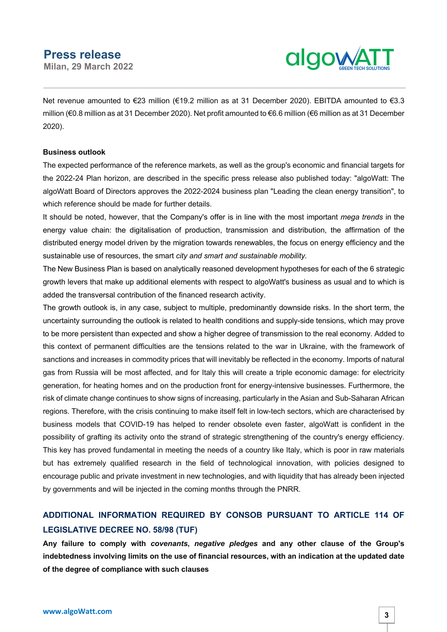**Milan, 29 March 2022**



Net revenue amounted to €23 million (€19.2 million as at 31 December 2020). EBITDA amounted to €3.3 million (€0.8 million as at 31 December 2020). Net profit amounted to €6.6 million (€6 million as at 31 December 2020).

#### **Business outlook**

The expected performance of the reference markets, as well as the group's economic and financial targets for the 2022-24 Plan horizon, are described in the specific press release also published today: "algoWatt: The algoWatt Board of Directors approves the 2022-2024 business plan "Leading the clean energy transition", to which reference should be made for further details.

It should be noted, however, that the Company's offer is in line with the most important *mega trends* in the energy value chain: the digitalisation of production, transmission and distribution, the affirmation of the distributed energy model driven by the migration towards renewables, the focus on energy efficiency and the sustainable use of resources, the smart *city and smart and sustainable mobility.*

The New Business Plan is based on analytically reasoned development hypotheses for each of the 6 strategic growth levers that make up additional elements with respect to algoWatt's business as usual and to which is added the transversal contribution of the financed research activity.

The growth outlook is, in any case, subject to multiple, predominantly downside risks. In the short term, the uncertainty surrounding the outlook is related to health conditions and supply-side tensions, which may prove to be more persistent than expected and show a higher degree of transmission to the real economy. Added to this context of permanent difficulties are the tensions related to the war in Ukraine, with the framework of sanctions and increases in commodity prices that will inevitably be reflected in the economy. Imports of natural gas from Russia will be most affected, and for Italy this will create a triple economic damage: for electricity generation, for heating homes and on the production front for energy-intensive businesses. Furthermore, the risk of climate change continues to show signs of increasing, particularly in the Asian and Sub-Saharan African regions. Therefore, with the crisis continuing to make itself felt in low-tech sectors, which are characterised by business models that COVID-19 has helped to render obsolete even faster, algoWatt is confident in the possibility of grafting its activity onto the strand of strategic strengthening of the country's energy efficiency. This key has proved fundamental in meeting the needs of a country like Italy, which is poor in raw materials but has extremely qualified research in the field of technological innovation, with policies designed to encourage public and private investment in new technologies, and with liquidity that has already been injected by governments and will be injected in the coming months through the PNRR.

### **ADDITIONAL INFORMATION REQUIRED BY CONSOB PURSUANT TO ARTICLE 114 OF LEGISLATIVE DECREE NO. 58/98 (TUF)**

**Any failure to comply with** *covenants***,** *negative pledges* **and any other clause of the Group's indebtedness involving limits on the use of financial resources, with an indication at the updated date of the degree of compliance with such clauses**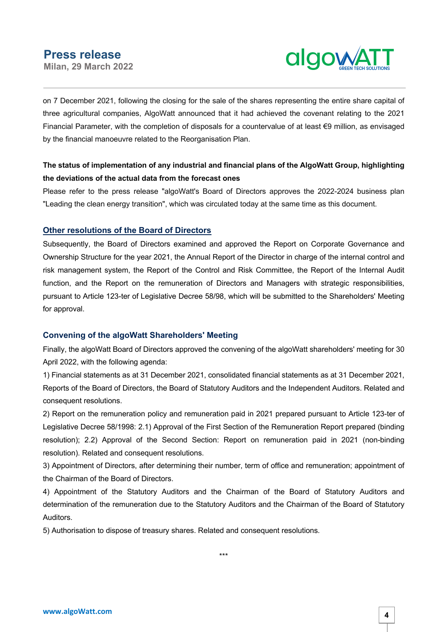**Milan, 29 March 2022**



on 7 December 2021, following the closing for the sale of the shares representing the entire share capital of three agricultural companies, AlgoWatt announced that it had achieved the covenant relating to the 2021 Financial Parameter, with the completion of disposals for a countervalue of at least €9 million, as envisaged by the financial manoeuvre related to the Reorganisation Plan.

### **The status of implementation of any industrial and financial plans of the AlgoWatt Group, highlighting the deviations of the actual data from the forecast ones**

Please refer to the press release "algoWatt's Board of Directors approves the 2022-2024 business plan "Leading the clean energy transition", which was circulated today at the same time as this document.

#### **Other resolutions of the Board of Directors**

Subsequently, the Board of Directors examined and approved the Report on Corporate Governance and Ownership Structure for the year 2021, the Annual Report of the Director in charge of the internal control and risk management system, the Report of the Control and Risk Committee, the Report of the Internal Audit function, and the Report on the remuneration of Directors and Managers with strategic responsibilities, pursuant to Article 123-ter of Legislative Decree 58/98, which will be submitted to the Shareholders' Meeting for approval.

#### **Convening of the algoWatt Shareholders' Meeting**

Finally, the algoWatt Board of Directors approved the convening of the algoWatt shareholders' meeting for 30 April 2022, with the following agenda:

1) Financial statements as at 31 December 2021, consolidated financial statements as at 31 December 2021, Reports of the Board of Directors, the Board of Statutory Auditors and the Independent Auditors. Related and consequent resolutions.

2) Report on the remuneration policy and remuneration paid in 2021 prepared pursuant to Article 123-ter of Legislative Decree 58/1998: 2.1) Approval of the First Section of the Remuneration Report prepared (binding resolution); 2.2) Approval of the Second Section: Report on remuneration paid in 2021 (non-binding resolution). Related and consequent resolutions.

3) Appointment of Directors, after determining their number, term of office and remuneration; appointment of the Chairman of the Board of Directors.

4) Appointment of the Statutory Auditors and the Chairman of the Board of Statutory Auditors and determination of the remuneration due to the Statutory Auditors and the Chairman of the Board of Statutory Auditors.

5) Authorisation to dispose of treasury shares. Related and consequent resolutions*.*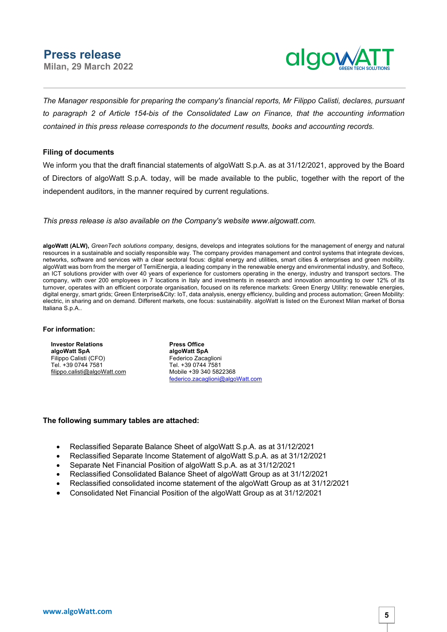**Milan, 29 March 2022**



*The Manager responsible for preparing the company's financial reports, Mr Filippo Calisti, declares, pursuant to paragraph 2 of Article 154-bis of the Consolidated Law on Finance, that the accounting information contained in this press release corresponds to the document results, books and accounting records.*

#### **Filing of documents**

We inform you that the draft financial statements of algoWatt S.p.A. as at 31/12/2021, approved by the Board of Directors of algoWatt S.p.A. today, will be made available to the public, together with the report of the independent auditors, in the manner required by current regulations.

*This press release is also available on the Company's website www.algowatt.com.*

**algoWatt (ALW),** *GreenTech solutions company,* designs, develops and integrates solutions for the management of energy and natural resources in a sustainable and socially responsible way. The company provides management and control systems that integrate devices, networks, software and services with a clear sectoral focus: digital energy and utilities, smart cities & enterprises and green mobility. algoWatt was born from the merger of TerniEnergia, a leading company in the renewable energy and environmental industry, and Softeco, an ICT solutions provider with over 40 years of experience for customers operating in the energy, industry and transport sectors. The company, with over 200 employees in 7 locations in Italy and investments in research and innovation amounting to over 12% of its turnover, operates with an efficient corporate organisation, focused on its reference markets: Green Energy Utility: renewable energies, digital energy, smart grids; Green Enterprise&City: IoT, data analysis, energy efficiency, building and process automation; Green Mobility: electric, in sharing and on demand. Different markets, one focus: sustainability. algoWatt is listed on the Euronext Milan market of Borsa Italiana S.p.A..

#### **For information:**

**Investor Relations Press Office algoWatt SpA algoWatt SpA** Filippo Calisti (CFO) Federico Zacaglioni Tel. +39 0744 7581 Tel. +39 0744 7581 filippo.calisti@algoWatt.com

federico.zacaglioni@algoWatt.com

#### **The following summary tables are attached:**

- Reclassified Separate Balance Sheet of algoWatt S.p.A. as at 31/12/2021
- Reclassified Separate Income Statement of algoWatt S.p.A. as at 31/12/2021
- Separate Net Financial Position of algoWatt S.p.A. as at 31/12/2021
- Reclassified Consolidated Balance Sheet of algoWatt Group as at 31/12/2021
- Reclassified consolidated income statement of the algoWatt Group as at 31/12/2021
- Consolidated Net Financial Position of the algoWatt Group as at 31/12/2021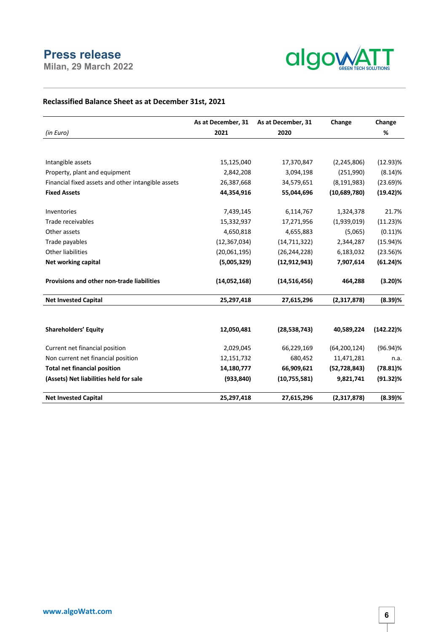**Milan, 29 March 2022**



### **Reclassified Balance Sheet as at December 31st, 2021**

|                                                    | As at December, 31 | As at December, 31 | Change         | Change       |
|----------------------------------------------------|--------------------|--------------------|----------------|--------------|
| (in Euro)                                          | 2021               | 2020               |                | %            |
|                                                    |                    |                    |                |              |
|                                                    |                    |                    |                |              |
| Intangible assets                                  | 15,125,040         | 17,370,847         | (2, 245, 806)  | $(12.93)\%$  |
| Property, plant and equipment                      | 2,842,208          | 3,094,198          | (251,990)      | (8.14)%      |
| Financial fixed assets and other intangible assets | 26,387,668         | 34,579,651         | (8, 191, 983)  | $(23.69)\%$  |
| <b>Fixed Assets</b>                                | 44,354,916         | 55,044,696         | (10,689,780)   | $(19.42)\%$  |
| Inventories                                        | 7,439,145          | 6,114,767          | 1,324,378      | 21.7%        |
| Trade receivables                                  | 15,332,937         | 17,271,956         | (1,939,019)    | $(11.23)\%$  |
| Other assets                                       | 4,650,818          | 4,655,883          | (5,065)        | $(0.11)\%$   |
| Trade payables                                     | (12, 367, 034)     | (14, 711, 322)     | 2,344,287      | $(15.94)\%$  |
| <b>Other liabilities</b>                           | (20,061,195)       | (26, 244, 228)     | 6,183,032      | $(23.56)\%$  |
| Net working capital                                | (5,005,329)        | (12, 912, 943)     | 7,907,614      | (61.24)%     |
| Provisions and other non-trade liabilities         | (14,052,168)       | (14, 516, 456)     | 464,288        | $(3.20)$ %   |
| <b>Net Invested Capital</b>                        | 25,297,418         | 27,615,296         | (2,317,878)    | $(8.39)$ %   |
|                                                    |                    |                    |                |              |
| <b>Shareholders' Equity</b>                        | 12,050,481         | (28, 538, 743)     | 40,589,224     | $(142.22)\%$ |
| Current net financial position                     | 2,029,045          | 66,229,169         | (64, 200, 124) | $(96.94)\%$  |
| Non current net financial position                 | 12,151,732         | 680,452            | 11,471,281     | n.a.         |
| <b>Total net financial position</b>                | 14,180,777         | 66,909,621         | (52, 728, 843) | $(78.81)\%$  |
| (Assets) Net liabilities held for sale             | (933, 840)         | (10, 755, 581)     | 9,821,741      | $(91.32)\%$  |
| <b>Net Invested Capital</b>                        | 25,297,418         | 27,615,296         | (2,317,878)    | $(8.39)\%$   |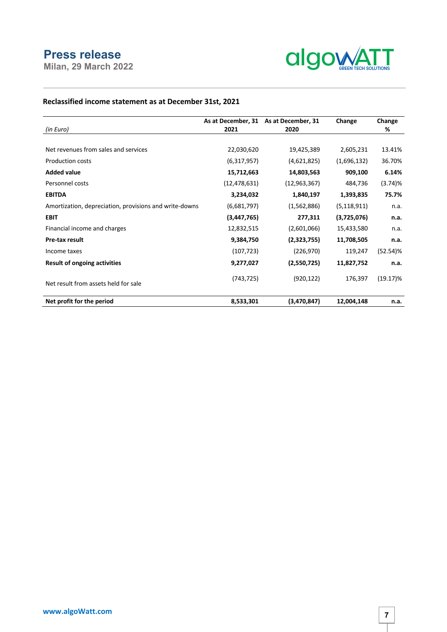**Milan, 29 March 2022**



### **Reclassified income statement as at December 31st, 2021**

|                                                        | As at December, 31 | As at December, 31 | Change        | Change      |
|--------------------------------------------------------|--------------------|--------------------|---------------|-------------|
| (in Euro)                                              | 2021               | 2020               |               | %           |
|                                                        |                    |                    |               |             |
| Net revenues from sales and services                   | 22,030,620         | 19,425,389         | 2,605,231     | 13.41%      |
| <b>Production costs</b>                                | (6,317,957)        | (4,621,825)        | (1,696,132)   | 36.70%      |
| <b>Added value</b>                                     | 15,712,663         | 14,803,563         | 909,100       | 6.14%       |
| Personnel costs                                        | (12, 478, 631)     | (12, 963, 367)     | 484,736       | $(3.74)$ %  |
| <b>EBITDA</b>                                          | 3,234,032          | 1,840,197          | 1,393,835     | 75.7%       |
| Amortization, depreciation, provisions and write-downs | (6,681,797)        | (1,562,886)        | (5, 118, 911) | n.a.        |
| <b>EBIT</b>                                            | (3,447,765)        | 277,311            | (3,725,076)   | n.a.        |
| Financial income and charges                           | 12,832,515         | (2,601,066)        | 15,433,580    | n.a.        |
| Pre-tax result                                         | 9,384,750          | (2,323,755)        | 11,708,505    | n.a.        |
| Income taxes                                           | (107, 723)         | (226, 970)         | 119,247       | $(52.54)\%$ |
| <b>Result of ongoing activities</b>                    | 9,277,027          | (2,550,725)        | 11,827,752    | n.a.        |
| Net result from assets held for sale                   | (743, 725)         | (920, 122)         | 176,397       | $(19.17)\%$ |
| Net profit for the period                              | 8,533,301          | (3,470,847)        | 12,004,148    | n.a.        |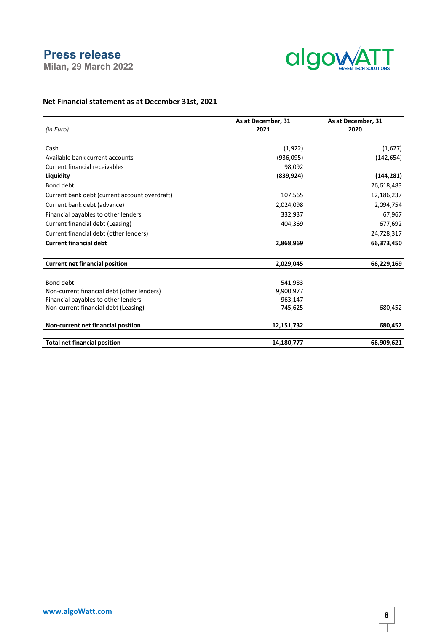**Milan, 29 March 2022**



### **Net Financial statement as at December 31st, 2021**

|                                               | As at December, 31 | As at December, 31 |
|-----------------------------------------------|--------------------|--------------------|
| (in Euro)                                     | 2021               | 2020               |
|                                               |                    |                    |
| Cash                                          | (1,922)            | (1,627)            |
| Available bank current accounts               | (936,095)          | (142, 654)         |
| Current financial receivables                 | 98,092             |                    |
| Liquidity                                     | (839, 924)         | (144, 281)         |
| Bond debt                                     |                    | 26,618,483         |
| Current bank debt (current account overdraft) | 107,565            | 12,186,237         |
| Current bank debt (advance)                   | 2,024,098          | 2,094,754          |
| Financial payables to other lenders           | 332,937            | 67,967             |
| Current financial debt (Leasing)              | 404,369            | 677,692            |
| Current financial debt (other lenders)        |                    | 24,728,317         |
| <b>Current financial debt</b>                 | 2,868,969          | 66,373,450         |
|                                               |                    |                    |
| <b>Current net financial position</b>         | 2,029,045          | 66,229,169         |
| Bond debt                                     | 541,983            |                    |
| Non-current financial debt (other lenders)    | 9,900,977          |                    |
| Financial payables to other lenders           | 963,147            |                    |
| Non-current financial debt (Leasing)          | 745,625            | 680,452            |
| Non-current net financial position            | 12,151,732         | 680,452            |
|                                               |                    |                    |
| <b>Total net financial position</b>           | 14,180,777         | 66,909,621         |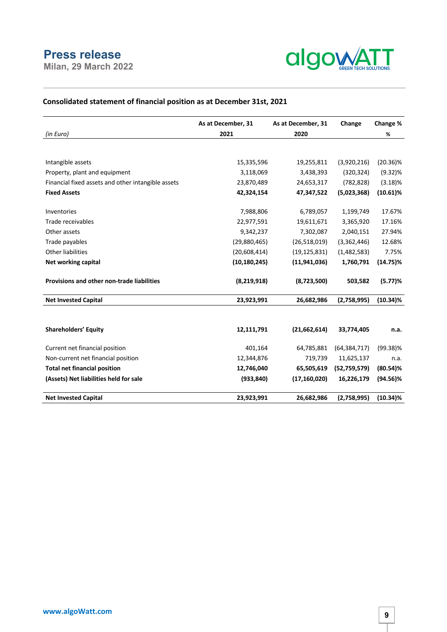**Milan, 29 March 2022**



### **Consolidated statement of financial position as at December 31st, 2021**

|                                                    | As at December, 31 | As at December, 31 | Change         | Change %    |
|----------------------------------------------------|--------------------|--------------------|----------------|-------------|
| (in Euro)                                          | 2021               | 2020               |                | $\%$        |
|                                                    |                    |                    |                |             |
|                                                    |                    |                    |                |             |
| Intangible assets                                  | 15,335,596         | 19,255,811         | (3,920,216)    | $(20.36)\%$ |
| Property, plant and equipment                      | 3,118,069          | 3,438,393          | (320, 324)     | $(9.32)\%$  |
| Financial fixed assets and other intangible assets | 23,870,489         | 24,653,317         | (782, 828)     | (3.18)%     |
| <b>Fixed Assets</b>                                | 42,324,154         | 47,347,522         | (5,023,368)    | $(10.61)\%$ |
| Inventories                                        | 7,988,806          | 6,789,057          | 1,199,749      | 17.67%      |
| Trade receivables                                  | 22,977,591         | 19,611,671         | 3,365,920      | 17.16%      |
| Other assets                                       | 9,342,237          | 7,302,087          | 2,040,151      | 27.94%      |
| Trade payables                                     | (29,880,465)       | (26, 518, 019)     | (3,362,446)    | 12.68%      |
| <b>Other liabilities</b>                           | (20, 608, 414)     | (19, 125, 831)     | (1,482,583)    | 7.75%       |
| Net working capital                                | (10, 180, 245)     | (11,941,036)       | 1,760,791      | $(14.75)\%$ |
| Provisions and other non-trade liabilities         | (8,219,918)        | (8,723,500)        | 503,582        | (5.77)%     |
| <b>Net Invested Capital</b>                        | 23,923,991         | 26,682,986         | (2,758,995)    | $(10.34)\%$ |
|                                                    |                    |                    |                |             |
| <b>Shareholders' Equity</b>                        | 12,111,791         | (21,662,614)       | 33,774,405     | n.a.        |
| Current net financial position                     | 401,164            | 64,785,881         | (64, 384, 717) | $(99.38)\%$ |
| Non-current net financial position                 | 12,344,876         | 719,739            | 11,625,137     | n.a.        |
| <b>Total net financial position</b>                | 12,746,040         | 65,505,619         | (52,759,579)   | $(80.54)\%$ |
| (Assets) Net liabilities held for sale             | (933, 840)         | (17, 160, 020)     | 16,226,179     | $(94.56)\%$ |
| <b>Net Invested Capital</b>                        | 23,923,991         | 26,682,986         | (2,758,995)    | $(10.34)\%$ |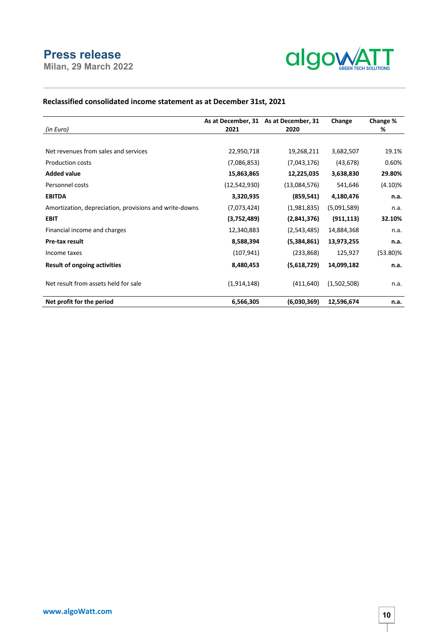**Milan, 29 March 2022**



### **Reclassified consolidated income statement as at December 31st, 2021**

|                                                        | As at December, 31 As at December, 31 |              | Change      | Change %    |
|--------------------------------------------------------|---------------------------------------|--------------|-------------|-------------|
| (in Euro)                                              | 2021                                  | 2020         |             | %           |
|                                                        |                                       |              |             |             |
| Net revenues from sales and services                   | 22,950,718                            | 19,268,211   | 3,682,507   | 19.1%       |
| <b>Production costs</b>                                | (7,086,853)                           | (7,043,176)  | (43, 678)   | 0.60%       |
| <b>Added value</b>                                     | 15,863,865                            | 12,225,035   | 3,638,830   | 29.80%      |
| Personnel costs                                        | (12,542,930)                          | (13,084,576) | 541,646     | $(4.10)\%$  |
| <b>EBITDA</b>                                          | 3,320,935                             | (859, 541)   | 4,180,476   | n.a.        |
| Amortization, depreciation, provisions and write-downs | (7,073,424)                           | (1,981,835)  | (5,091,589) | n.a.        |
| <b>EBIT</b>                                            | (3,752,489)                           | (2,841,376)  | (911, 113)  | 32.10%      |
| Financial income and charges                           | 12,340,883                            | (2,543,485)  | 14,884,368  | n.a.        |
| Pre-tax result                                         | 8,588,394                             | (5,384,861)  | 13,973,255  | n.a.        |
| Income taxes                                           | (107, 941)                            | (233, 868)   | 125,927     | $(53.80)\%$ |
| Result of ongoing activities                           | 8,480,453                             | (5,618,729)  | 14,099,182  | n.a.        |
| Net result from assets held for sale                   | (1,914,148)                           | (411, 640)   | (1,502,508) | n.a.        |
| Net profit for the period                              | 6,566,305                             | (6,030,369)  | 12,596,674  | n.a.        |